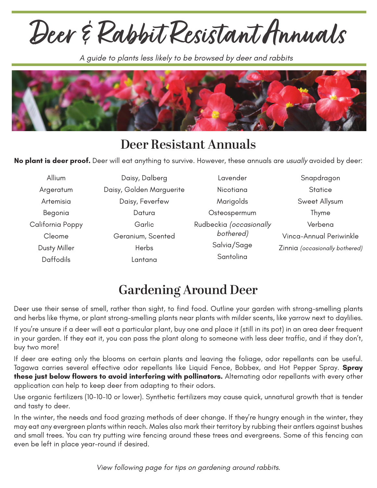**Deer & Rabbit Resistant Annuals**

*A guide to plants less likely to be browsed by deer and rabbits*



## **Deer Resistant Annuals**

**No plant is deer proof.** Deer will eat anything to survive. However, these annuals are *usually* avoided by deer:

| Allium           | Daisy, Dalberg           | Lavender                | Snapdragon                     |
|------------------|--------------------------|-------------------------|--------------------------------|
| Argeratum        | Daisy, Golden Marguerite | Nicotiana               | <b>Statice</b>                 |
| Artemisia        | Daisy, Feverfew          | Marigolds               | Sweet Allysum                  |
| Begonia          | Datura                   | Osteospermum            | Thyme                          |
| California Poppy | Garlic                   | Rudbeckia (occasionally | Verbena                        |
| Cleome           | Geranium, Scented        | bothered)               | Vinca-Annual Periwinkle        |
| Dusty Miller     | Herbs                    | Salvia/Sage             | Zinnia (occasionally bothered) |
| <b>Daffodils</b> | Lantana                  | Santolina               |                                |

## **Gardening Around Deer**

Deer use their sense of smell, rather than sight, to find food. Outline your garden with strong-smelling plants and herbs like thyme, or plant strong-smelling plants near plants with milder scents, like yarrow next to daylilies.

If you're unsure if a deer will eat a particular plant, buy one and place it (still in its pot) in an area deer frequent in your garden. If they eat it, you can pass the plant along to someone with less deer traffic, and if they don't, buy two more!

If deer are eating only the blooms on certain plants and leaving the foliage, odor repellants can be useful. Tagawa carries several effective odor repellants like Liquid Fence, Bobbex, and Hot Pepper Spray. **Spray these just below flowers to avoid interfering with pollinators.** Alternating odor repellants with every other application can help to keep deer from adapting to their odors.

Use organic fertilizers (10-10-10 or lower). Synthetic fertilizers may cause quick, unnatural growth that is tender and tasty to deer.

In the winter, the needs and food grazing methods of deer change. If they're hungry enough in the winter, they may eat any evergreen plants within reach. Males also mark their territory by rubbing their antlers against bushes and small trees. You can try putting wire fencing around these trees and evergreens. Some of this fencing can even be left in place year-round if desired.

*View following page for tips on gardening around rabbits.*